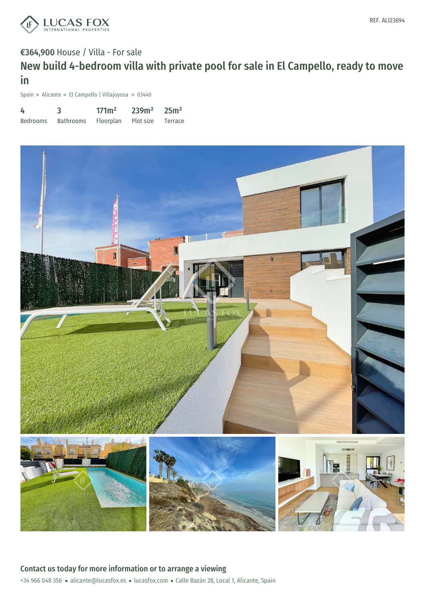

## €364,900 House / Villa - For sale New build 4-bedroom villa with private pool for sale in El Campello, ready to move in

Spain » Alicante » El Campello | Villajoyosa » 03440

| 4        |           | 171 <sup>m</sup> | 239m <sup>2</sup> | 25m <sup>2</sup> |
|----------|-----------|------------------|-------------------|------------------|
| Bedrooms | Bathrooms | Floorplan        | Plot size         | Terrace          |

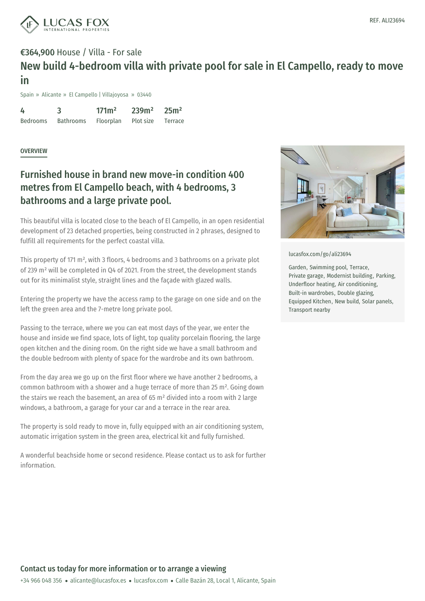

## €364,900 House / Villa - For sale New build 4-bedroom villa with private pool for sale in El Campello, ready to move in

Spain » Alicante » El Campello | Villajoyosa » 03440

4 Bedrooms 3 Bathrooms 171m² Floorplan 239m² Plot size 25m² Terrace

#### **OVERVIEW**

## Furnished house in brand new move-in condition 400 metres from El Campello beach, with 4 bedrooms, 3 bathrooms and a large private pool.

This beautiful villa is located close to the beach of El Campello, in an open residential development of 23 detached properties, being constructed in 2 phrases, designed to fulfill all requirements for the perfect coastal villa.

This property of 171 m², with 3 floors, 4 bedrooms and 3 bathrooms on a private plot of 239 m² will be completed in Q4 of 2021. From the street, the development stands out for its minimalist style, straight lines and the façade with glazed walls.

Entering the property we have the access ramp to the garage on one side and on the left the green area and the 7-metre long private pool.

Passing to the terrace, where we you can eat most days of the year, we enter the house and inside we find space, lots of light, top quality porcelain flooring, the large open kitchen and the dining room. On the right side we have a small bathroom and the double bedroom with plenty of space for the wardrobe and its own bathroom.

From the day area we go up on the first floor where we have another 2 bedrooms, a common bathroom with a shower and a huge terrace of more than 25 m². Going down the stairs we reach the basement, an area of 65  $m<sup>2</sup>$  divided into a room with 2 large windows, a bathroom, a garage for your car and a terrace in the rear area.

The property is sold ready to move in, fully equipped with an air conditioning system, automatic irrigation [system](mailto:alicante@lucasfox.es) in the green area, [electr](https://www.lucasfox.com)ical kit and fully furnished.

A wonderful beachside home or second residence. Please contact us to ask for further information.



[lucasfox.com/go/ali23694](https://www.lucasfox.com/go/ali23694)

Garden, Swimming pool, Terrace, Private garage, Modernist building, Parking, Underfloor heating, Air conditioning, Built-in wardrobes, Double glazing, Equipped Kitchen, New build, Solar panels, Transport nearby